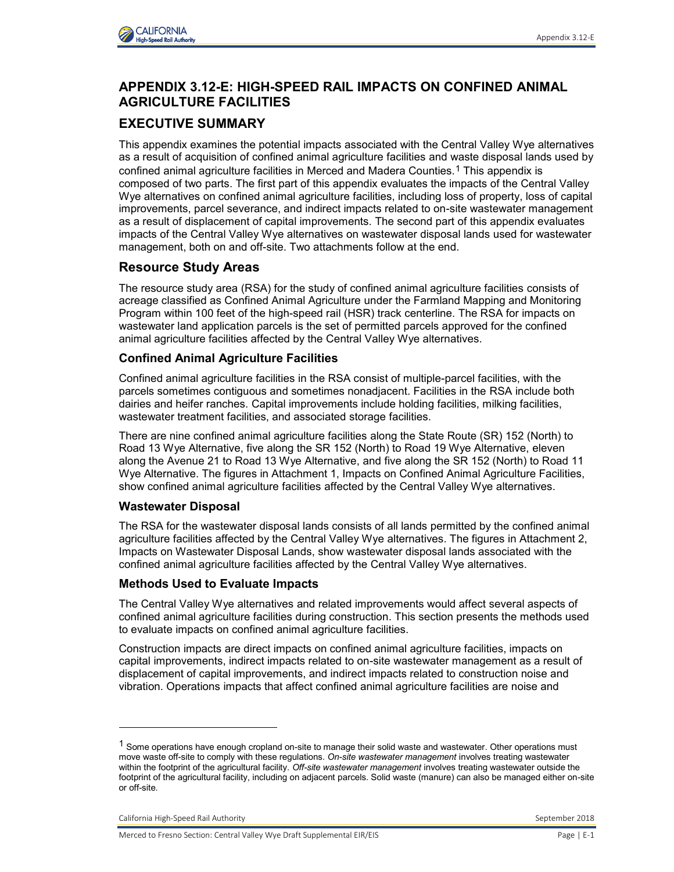

# **APPENDIX 3.12-E: HIGH-SPEED RAIL IMPACTS ON CONFINED ANIMAL AGRICULTURE FACILITIES**

# **EXECUTIVE SUMMARY**

This appendix examines the potential impacts associated with the Central Valley Wye alternatives as a result of acquisition of confined animal agriculture facilities and waste disposal lands used by confined animal agriculture facilities in Merced and Madera Counties.1 This appendix is composed of two parts. The first part of this appendix evaluates the impacts of the Central Valley Wye alternatives on confined animal agriculture facilities, including loss of property, loss of capital improvements, parcel severance, and indirect impacts related to on-site wastewater management as a result of displacement of capital improvements. The second part of this appendix evaluates impacts of the Central Valley Wye alternatives on wastewater disposal lands used for wastewater management, both on and off-site. Two attachments follow at the end.

## **Resource Study Areas**

The resource study area (RSA) for the study of confined animal agriculture facilities consists of acreage classified as Confined Animal Agriculture under the Farmland Mapping and Monitoring Program within 100 feet of the high-speed rail (HSR) track centerline. The RSA for impacts on wastewater land application parcels is the set of permitted parcels approved for the confined animal agriculture facilities affected by the Central Valley Wye alternatives.

### **Confined Animal Agriculture Facilities**

Confined animal agriculture facilities in the RSA consist of multiple-parcel facilities, with the parcels sometimes contiguous and sometimes nonadjacent. Facilities in the RSA include both dairies and heifer ranches. Capital improvements include holding facilities, milking facilities, wastewater treatment facilities, and associated storage facilities.

There are nine confined animal agriculture facilities along the State Route (SR) 152 (North) to Road 13 Wye Alternative, five along the SR 152 (North) to Road 19 Wye Alternative, eleven along the Avenue 21 to Road 13 Wye Alternative, and five along the SR 152 (North) to Road 11 Wye Alternative. The figures in Attachment 1, Impacts on Confined Animal Agriculture Facilities, show confined animal agriculture facilities affected by the Central Valley Wye alternatives.

### **Wastewater Disposal**

The RSA for the wastewater disposal lands consists of all lands permitted by the confined animal agriculture facilities affected by the Central Valley Wye alternatives. The figures in Attachment 2, Impacts on Wastewater Disposal Lands, show wastewater disposal lands associated with the confined animal agriculture facilities affected by the Central Valley Wye alternatives.

### **Methods Used to Evaluate Impacts**

The Central Valley Wye alternatives and related improvements would affect several aspects of confined animal agriculture facilities during construction. This section presents the methods used to evaluate impacts on confined animal agriculture facilities.

Construction impacts are direct impacts on confined animal agriculture facilities, impacts on capital improvements, indirect impacts related to on-site wastewater management as a result of displacement of capital improvements, and indirect impacts related to construction noise and vibration. Operations impacts that affect confined animal agriculture facilities are noise and

-

 $1$  Some operations have enough cropland on-site to manage their solid waste and wastewater. Other operations must move waste off-site to comply with these regulations. *On-site wastewater management* involves treating wastewater within the footprint of the agricultural facility. *Off-site wastewater management* involves treating wastewater outside the footprint of the agricultural facility, including on adjacent parcels. Solid waste (manure) can also be managed either on-site or off-site.

California High-Speed Rail Authority September 2018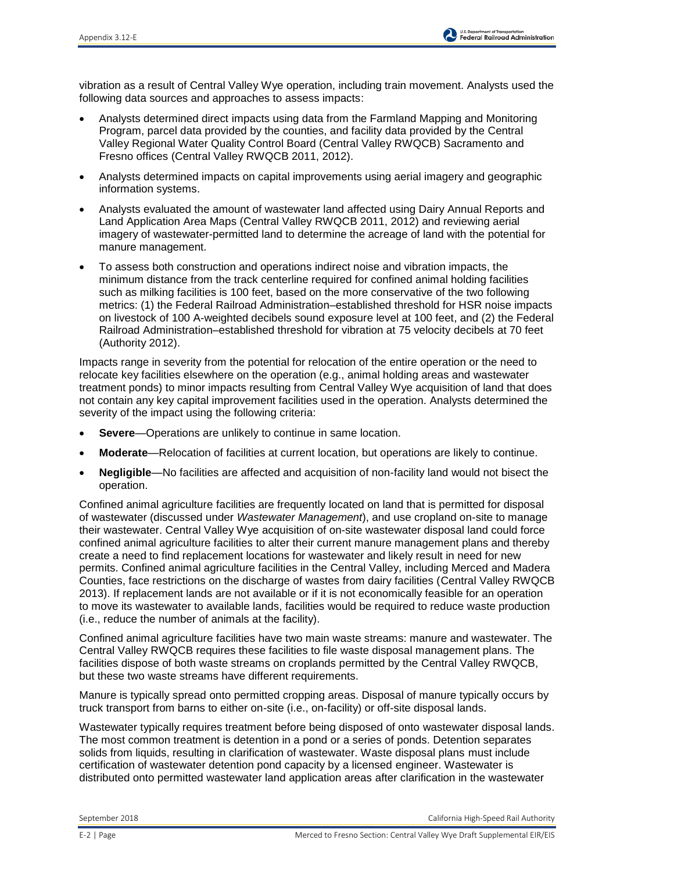vibration as a result of Central Valley Wye operation, including train movement. Analysts used the following data sources and approaches to assess impacts:

- Analysts determined direct impacts using data from the Farmland Mapping and Monitoring Program, parcel data provided by the counties, and facility data provided by the Central Valley Regional Water Quality Control Board (Central Valley RWQCB) Sacramento and Fresno offices (Central Valley RWQCB 2011, 2012).
- Analysts determined impacts on capital improvements using aerial imagery and geographic information systems.
- Analysts evaluated the amount of wastewater land affected using Dairy Annual Reports and Land Application Area Maps (Central Valley RWQCB 2011, 2012) and reviewing aerial imagery of wastewater-permitted land to determine the acreage of land with the potential for manure management.
- To assess both construction and operations indirect noise and vibration impacts, the minimum distance from the track centerline required for confined animal holding facilities such as milking facilities is 100 feet, based on the more conservative of the two following metrics: (1) the Federal Railroad Administration–established threshold for HSR noise impacts on livestock of 100 A-weighted decibels sound exposure level at 100 feet, and (2) the Federal Railroad Administration–established threshold for vibration at 75 velocity decibels at 70 feet (Authority 2012).

Impacts range in severity from the potential for relocation of the entire operation or the need to relocate key facilities elsewhere on the operation (e.g., animal holding areas and wastewater treatment ponds) to minor impacts resulting from Central Valley Wye acquisition of land that does not contain any key capital improvement facilities used in the operation. Analysts determined the severity of the impact using the following criteria:

- **Severe**—Operations are unlikely to continue in same location.
- **Moderate**—Relocation of facilities at current location, but operations are likely to continue.
- **Negligible**—No facilities are affected and acquisition of non-facility land would not bisect the operation.

Confined animal agriculture facilities are frequently located on land that is permitted for disposal of wastewater (discussed under *Wastewater Management*), and use cropland on-site to manage their wastewater. Central Valley Wye acquisition of on-site wastewater disposal land could force confined animal agriculture facilities to alter their current manure management plans and thereby create a need to find replacement locations for wastewater and likely result in need for new permits. Confined animal agriculture facilities in the Central Valley, including Merced and Madera Counties, face restrictions on the discharge of wastes from dairy facilities (Central Valley RWQCB 2013). If replacement lands are not available or if it is not economically feasible for an operation to move its wastewater to available lands, facilities would be required to reduce waste production (i.e., reduce the number of animals at the facility).

Confined animal agriculture facilities have two main waste streams: manure and wastewater. The Central Valley RWQCB requires these facilities to file waste disposal management plans. The facilities dispose of both waste streams on croplands permitted by the Central Valley RWQCB, but these two waste streams have different requirements.

Manure is typically spread onto permitted cropping areas. Disposal of manure typically occurs by truck transport from barns to either on-site (i.e., on-facility) or off-site disposal lands.

Wastewater typically requires treatment before being disposed of onto wastewater disposal lands. The most common treatment is detention in a pond or a series of ponds. Detention separates solids from liquids, resulting in clarification of wastewater. Waste disposal plans must include certification of wastewater detention pond capacity by a licensed engineer. Wastewater is distributed onto permitted wastewater land application areas after clarification in the wastewater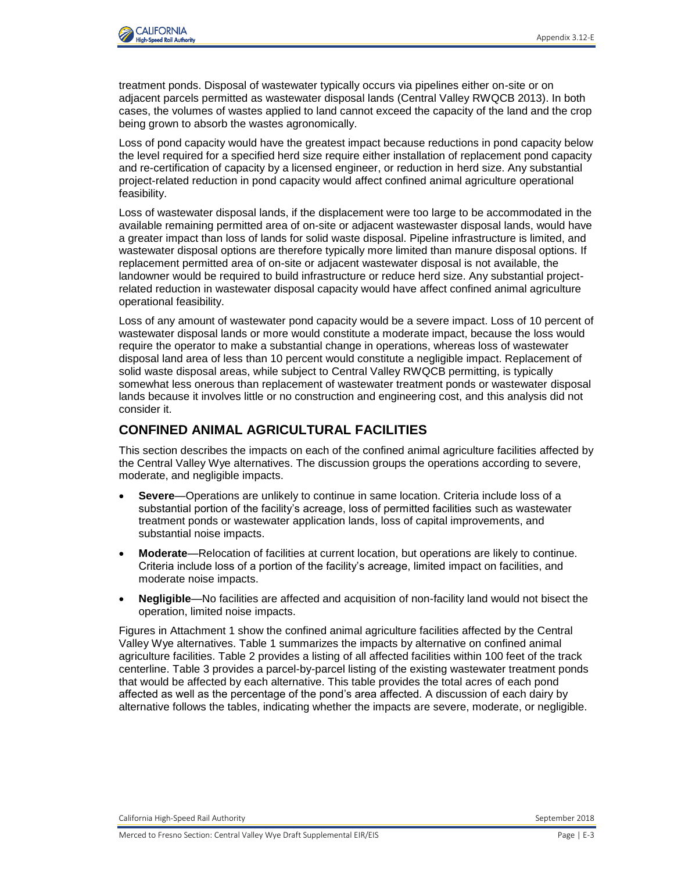

treatment ponds. Disposal of wastewater typically occurs via pipelines either on-site or on adjacent parcels permitted as wastewater disposal lands (Central Valley RWQCB 2013). In both cases, the volumes of wastes applied to land cannot exceed the capacity of the land and the crop being grown to absorb the wastes agronomically.

Loss of pond capacity would have the greatest impact because reductions in pond capacity below the level required for a specified herd size require either installation of replacement pond capacity and re-certification of capacity by a licensed engineer, or reduction in herd size. Any substantial project-related reduction in pond capacity would affect confined animal agriculture operational feasibility.

Loss of wastewater disposal lands, if the displacement were too large to be accommodated in the available remaining permitted area of on-site or adjacent wastewaster disposal lands, would have a greater impact than loss of lands for solid waste disposal. Pipeline infrastructure is limited, and wastewater disposal options are therefore typically more limited than manure disposal options. If replacement permitted area of on-site or adjacent wastewater disposal is not available, the landowner would be required to build infrastructure or reduce herd size. Any substantial projectrelated reduction in wastewater disposal capacity would have affect confined animal agriculture operational feasibility.

Loss of any amount of wastewater pond capacity would be a severe impact. Loss of 10 percent of wastewater disposal lands or more would constitute a moderate impact, because the loss would require the operator to make a substantial change in operations, whereas loss of wastewater disposal land area of less than 10 percent would constitute a negligible impact. Replacement of solid waste disposal areas, while subject to Central Valley RWQCB permitting, is typically somewhat less onerous than replacement of wastewater treatment ponds or wastewater disposal lands because it involves little or no construction and engineering cost, and this analysis did not consider it.

## **CONFINED ANIMAL AGRICULTURAL FACILITIES**

This section describes the impacts on each of the confined animal agriculture facilities affected by the Central Valley Wye alternatives. The discussion groups the operations according to severe, moderate, and negligible impacts.

- **Severe**—Operations are unlikely to continue in same location. Criteria include loss of a substantial portion of the facility's acreage, loss of permitted facilities such as wastewater treatment ponds or wastewater application lands, loss of capital improvements, and substantial noise impacts.
- **Moderate**—Relocation of facilities at current location, but operations are likely to continue. Criteria include loss of a portion of the facility's acreage, limited impact on facilities, and moderate noise impacts.
- **Negligible**—No facilities are affected and acquisition of non-facility land would not bisect the operation, limited noise impacts.

Figures in Attachment 1 show the confined animal agriculture facilities affected by the Central Valley Wye alternatives. Table 1 summarizes the impacts by alternative on confined animal agriculture facilities. Table 2 provides a listing of all affected facilities within 100 feet of the track centerline. Table 3 provides a parcel-by-parcel listing of the existing wastewater treatment ponds that would be affected by each alternative. This table provides the total acres of each pond affected as well as the percentage of the pond's area affected. A discussion of each dairy by alternative follows the tables, indicating whether the impacts are severe, moderate, or negligible.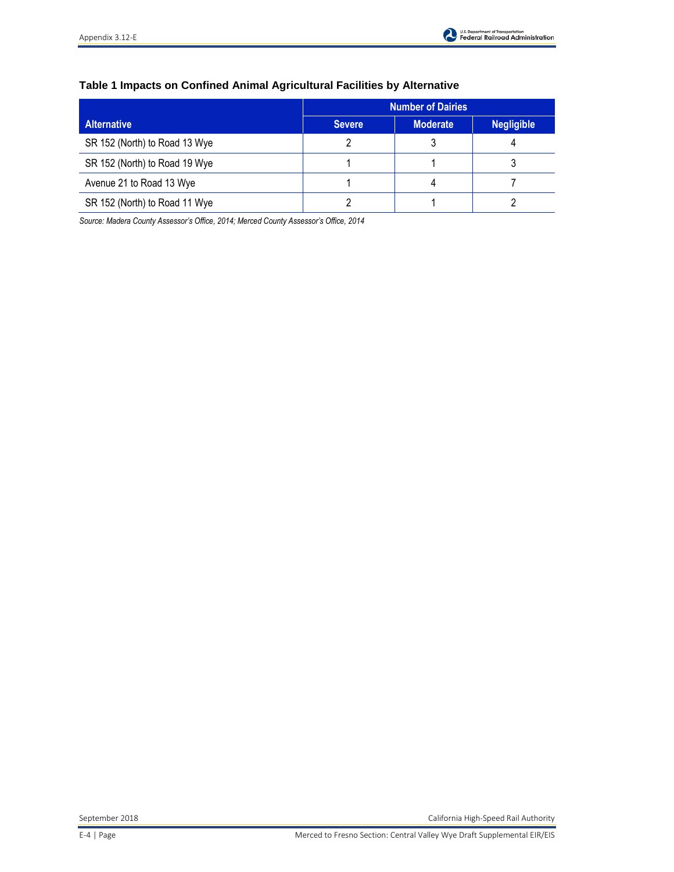## **Table 1 Impacts on Confined Animal Agricultural Facilities by Alternative**

|                               | <b>Number of Dairies</b> |                 |                   |  |  |  |  |
|-------------------------------|--------------------------|-----------------|-------------------|--|--|--|--|
| <b>Alternative</b>            | <b>Severe</b>            | <b>Moderate</b> | <b>Negligible</b> |  |  |  |  |
| SR 152 (North) to Road 13 Wye |                          |                 |                   |  |  |  |  |
| SR 152 (North) to Road 19 Wye |                          |                 |                   |  |  |  |  |
| Avenue 21 to Road 13 Wye      |                          |                 |                   |  |  |  |  |
| SR 152 (North) to Road 11 Wye |                          |                 |                   |  |  |  |  |

*Source: Madera County Assessor's Office, 2014; Merced County Assessor's Office, 2014*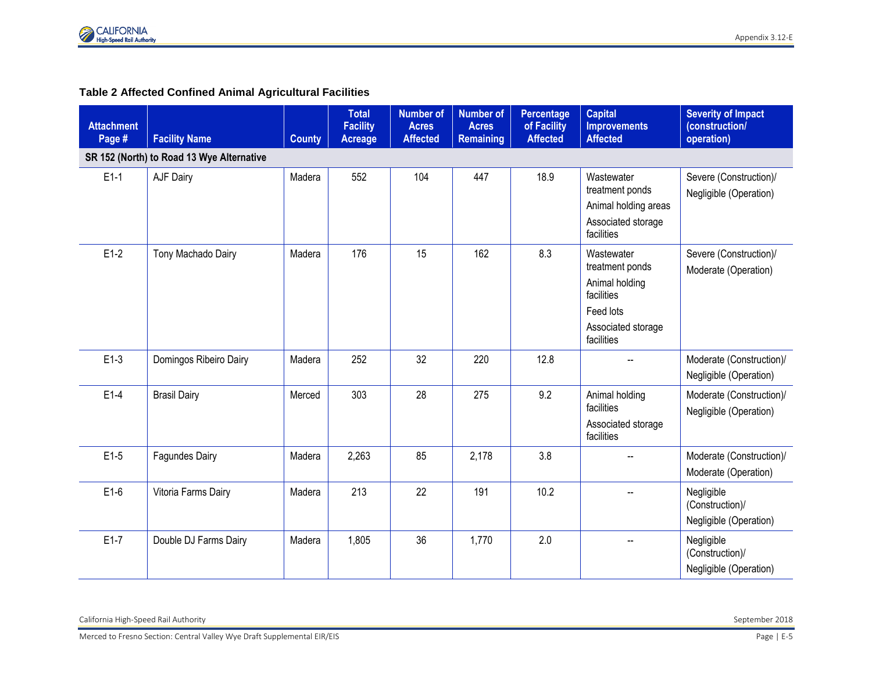

#### **Table 2 Affected Confined Animal Agricultural Facilities**

| <b>Attachment</b><br>Page # | <b>Facility Name</b>                      | <b>County</b> | <b>Total</b><br><b>Facility</b><br><b>Acreage</b> | <b>Number of</b><br><b>Acres</b><br><b>Affected</b> | <b>Number of</b><br><b>Acres</b><br><b>Remaining</b> | Percentage<br>of Facility<br><b>Affected</b> | <b>Capital</b><br><b>Improvements</b><br><b>Affected</b>                                                       | <b>Severity of Impact</b><br>(construction/<br>operation) |
|-----------------------------|-------------------------------------------|---------------|---------------------------------------------------|-----------------------------------------------------|------------------------------------------------------|----------------------------------------------|----------------------------------------------------------------------------------------------------------------|-----------------------------------------------------------|
|                             | SR 152 (North) to Road 13 Wye Alternative |               |                                                   |                                                     |                                                      |                                              |                                                                                                                |                                                           |
| $E1-1$                      | AJF Dairy                                 | Madera        | 552                                               | 104                                                 | 447                                                  | 18.9                                         | Wastewater<br>treatment ponds<br>Animal holding areas<br>Associated storage<br>facilities                      | Severe (Construction)/<br>Negligible (Operation)          |
| $E1-2$                      | Tony Machado Dairy                        | Madera        | 176                                               | 15                                                  | 162                                                  | 8.3                                          | Wastewater<br>treatment ponds<br>Animal holding<br>facilities<br>Feed lots<br>Associated storage<br>facilities | Severe (Construction)/<br>Moderate (Operation)            |
| $E1-3$                      | Domingos Ribeiro Dairy                    | Madera        | 252                                               | 32                                                  | 220                                                  | 12.8                                         |                                                                                                                | Moderate (Construction)/<br>Negligible (Operation)        |
| $E1-4$                      | <b>Brasil Dairy</b>                       | Merced        | 303                                               | 28                                                  | 275                                                  | 9.2                                          | Animal holding<br>facilities<br>Associated storage<br>facilities                                               | Moderate (Construction)/<br>Negligible (Operation)        |
| $E1-5$                      | <b>Fagundes Dairy</b>                     | Madera        | 2,263                                             | 85                                                  | 2,178                                                | 3.8                                          |                                                                                                                | Moderate (Construction)/<br>Moderate (Operation)          |
| $E1-6$                      | Vitoria Farms Dairy                       | Madera        | 213                                               | 22                                                  | 191                                                  | 10.2                                         |                                                                                                                | Negligible<br>(Construction)/<br>Negligible (Operation)   |
| $E1-7$                      | Double DJ Farms Dairy                     | Madera        | 1,805                                             | 36                                                  | 1,770                                                | 2.0                                          |                                                                                                                | Negligible<br>(Construction)/<br>Negligible (Operation)   |

California High-Speed Rail Authority September 2018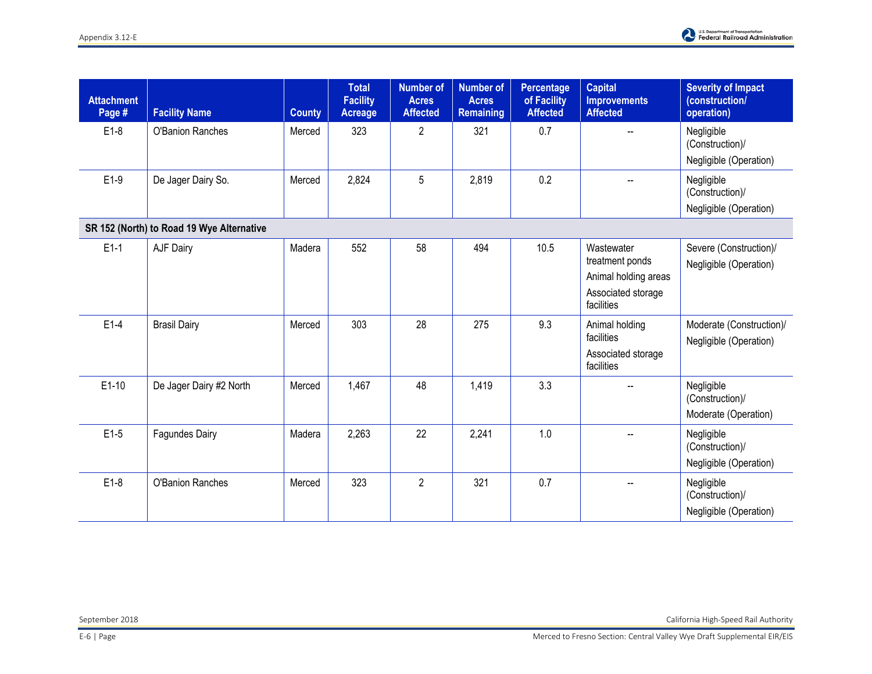| <b>Attachment</b><br>Page # | <b>Facility Name</b>                      | <b>County</b> | <b>Total</b><br><b>Facility</b><br><b>Acreage</b> | <b>Number of</b><br><b>Acres</b><br><b>Affected</b> | <b>Number of</b><br><b>Acres</b><br><b>Remaining</b> | Percentage<br>of Facility<br><b>Affected</b> | <b>Capital</b><br><b>Improvements</b><br><b>Affected</b>                                  | <b>Severity of Impact</b><br>(construction/<br>operation) |
|-----------------------------|-------------------------------------------|---------------|---------------------------------------------------|-----------------------------------------------------|------------------------------------------------------|----------------------------------------------|-------------------------------------------------------------------------------------------|-----------------------------------------------------------|
| $E1-8$                      | O'Banion Ranches                          | Merced        | 323                                               | $\overline{2}$                                      | 321                                                  | 0.7                                          |                                                                                           | Negligible<br>(Construction)/<br>Negligible (Operation)   |
| $E1-9$                      | De Jager Dairy So.                        | Merced        | 2,824                                             | 5                                                   | 2,819                                                | 0.2                                          |                                                                                           | Negligible<br>(Construction)/<br>Negligible (Operation)   |
|                             | SR 152 (North) to Road 19 Wye Alternative |               |                                                   |                                                     |                                                      |                                              |                                                                                           |                                                           |
| $E1-1$                      | AJF Dairy                                 | Madera        | 552                                               | 58                                                  | 494                                                  | 10.5                                         | Wastewater<br>treatment ponds<br>Animal holding areas<br>Associated storage<br>facilities | Severe (Construction)/<br>Negligible (Operation)          |
| $E1-4$                      | <b>Brasil Dairy</b>                       | Merced        | 303                                               | 28                                                  | 275                                                  | 9.3                                          | Animal holding<br>facilities<br>Associated storage<br>facilities                          | Moderate (Construction)/<br>Negligible (Operation)        |
| $E1-10$                     | De Jager Dairy #2 North                   | Merced        | 1,467                                             | 48                                                  | 1,419                                                | 3.3                                          |                                                                                           | Negligible<br>(Construction)/<br>Moderate (Operation)     |
| $E1-5$                      | <b>Fagundes Dairy</b>                     | Madera        | 2,263                                             | 22                                                  | 2,241                                                | 1.0                                          |                                                                                           | Negligible<br>(Construction)/<br>Negligible (Operation)   |
| $E1-8$                      | O'Banion Ranches                          | Merced        | 323                                               | $\overline{2}$                                      | 321                                                  | 0.7                                          | $\overline{\phantom{a}}$                                                                  | Negligible<br>(Construction)/<br>Negligible (Operation)   |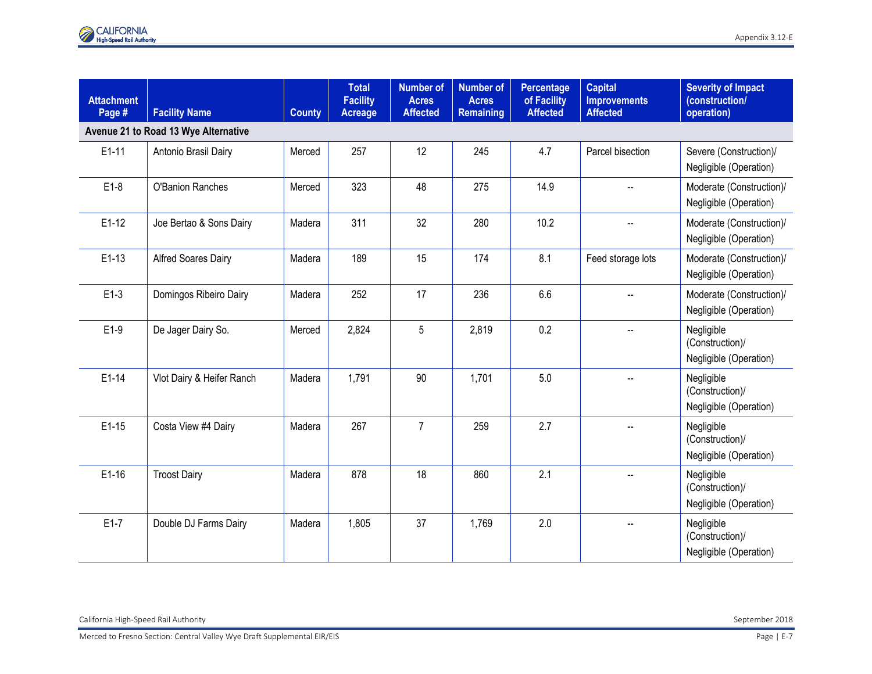| <b>Attachment</b><br>Page #          | <b>Facility Name</b>      | <b>County</b> | <b>Total</b><br><b>Facility</b><br><b>Acreage</b> | <b>Number of</b><br><b>Acres</b><br><b>Affected</b> | <b>Number of</b><br><b>Acres</b><br><b>Remaining</b> | Percentage<br>of Facility<br><b>Affected</b> | <b>Capital</b><br><b>Improvements</b><br><b>Affected</b> | <b>Severity of Impact</b><br>(construction/<br>operation) |  |
|--------------------------------------|---------------------------|---------------|---------------------------------------------------|-----------------------------------------------------|------------------------------------------------------|----------------------------------------------|----------------------------------------------------------|-----------------------------------------------------------|--|
| Avenue 21 to Road 13 Wye Alternative |                           |               |                                                   |                                                     |                                                      |                                              |                                                          |                                                           |  |
| $E1-11$                              | Antonio Brasil Dairy      | Merced        | 257                                               | 12                                                  | 245                                                  | 4.7                                          | Parcel bisection                                         | Severe (Construction)/<br>Negligible (Operation)          |  |
| $E1-8$                               | O'Banion Ranches          | Merced        | 323                                               | 48                                                  | 275                                                  | 14.9                                         |                                                          | Moderate (Construction)/<br>Negligible (Operation)        |  |
| $E1-12$                              | Joe Bertao & Sons Dairy   | Madera        | 311                                               | 32                                                  | 280                                                  | 10.2                                         |                                                          | Moderate (Construction)/<br>Negligible (Operation)        |  |
| $E1-13$                              | Alfred Soares Dairy       | Madera        | 189                                               | 15                                                  | 174                                                  | 8.1                                          | Feed storage lots                                        | Moderate (Construction)/<br>Negligible (Operation)        |  |
| $E1-3$                               | Domingos Ribeiro Dairy    | Madera        | 252                                               | 17                                                  | 236                                                  | 6.6                                          |                                                          | Moderate (Construction)/<br>Negligible (Operation)        |  |
| $E1-9$                               | De Jager Dairy So.        | Merced        | 2,824                                             | 5                                                   | 2,819                                                | 0.2                                          |                                                          | Negligible<br>(Construction)/<br>Negligible (Operation)   |  |
| $E1-14$                              | Vlot Dairy & Heifer Ranch | Madera        | 1,791                                             | 90                                                  | 1,701                                                | 5.0                                          | $\overline{a}$                                           | Negligible<br>(Construction)/<br>Negligible (Operation)   |  |
| $E1-15$                              | Costa View #4 Dairy       | Madera        | 267                                               | $\overline{7}$                                      | 259                                                  | 2.7                                          |                                                          | Negligible<br>(Construction)/<br>Negligible (Operation)   |  |
| $E1-16$                              | <b>Troost Dairy</b>       | Madera        | 878                                               | 18                                                  | 860                                                  | 2.1                                          | Negligible<br>(Construction)/<br>Negligible (Operation)  |                                                           |  |
| $E1-7$                               | Double DJ Farms Dairy     | Madera        | 1,805                                             | 37                                                  | 1,769                                                | 2.0                                          | $\overline{\phantom{a}}$                                 | Negligible<br>(Construction)/<br>Negligible (Operation)   |  |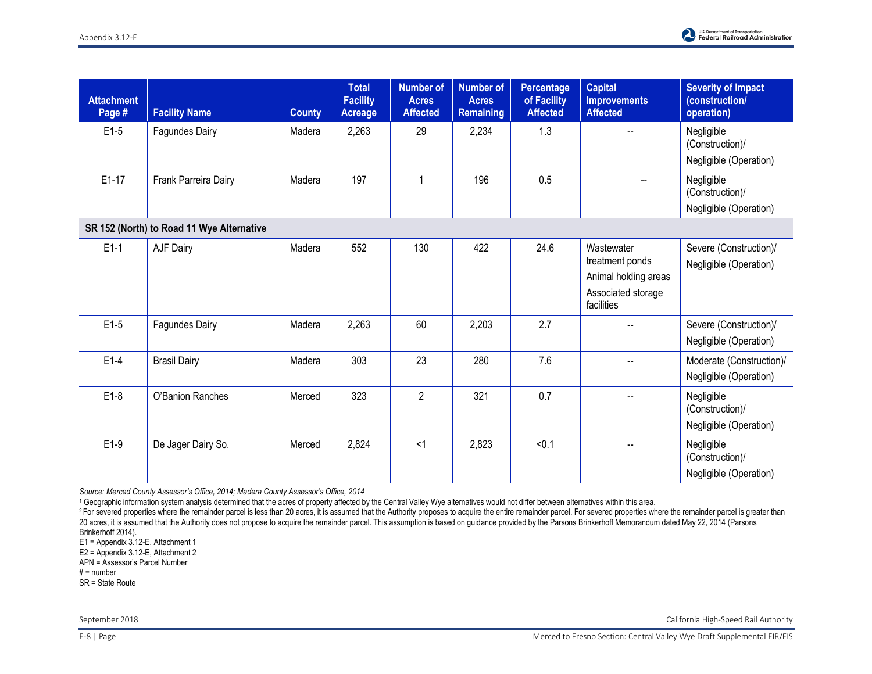| <b>Attachment</b><br>Page # | <b>Facility Name</b>                      | <b>County</b> | <b>Total</b><br><b>Facility</b><br><b>Acreage</b> | <b>Number of</b><br><b>Acres</b><br><b>Affected</b> | <b>Number of</b><br><b>Acres</b><br><b>Remaining</b> | Percentage<br>of Facility<br><b>Affected</b> | <b>Capital</b><br><b>Improvements</b><br><b>Affected</b>                                  | <b>Severity of Impact</b><br>(construction/<br>operation) |
|-----------------------------|-------------------------------------------|---------------|---------------------------------------------------|-----------------------------------------------------|------------------------------------------------------|----------------------------------------------|-------------------------------------------------------------------------------------------|-----------------------------------------------------------|
| $E1-5$                      | <b>Fagundes Dairy</b>                     | Madera        | 2,263                                             | 29                                                  | 2,234                                                | 1.3                                          |                                                                                           | Negligible<br>(Construction)/<br>Negligible (Operation)   |
| $E1-17$                     | Frank Parreira Dairy                      | Madera        | 197                                               | 1                                                   | 196                                                  | 0.5                                          |                                                                                           | Negligible<br>(Construction)/<br>Negligible (Operation)   |
|                             | SR 152 (North) to Road 11 Wye Alternative |               |                                                   |                                                     |                                                      |                                              |                                                                                           |                                                           |
| $E1-1$                      | AJF Dairy                                 | Madera        | 552                                               | 130                                                 | 422                                                  | 24.6                                         | Wastewater<br>treatment ponds<br>Animal holding areas<br>Associated storage<br>facilities | Severe (Construction)/<br>Negligible (Operation)          |
| $E1-5$                      | <b>Fagundes Dairy</b>                     | Madera        | 2,263                                             | 60                                                  | 2,203                                                | 2.7                                          |                                                                                           | Severe (Construction)/<br>Negligible (Operation)          |
| $E1-4$                      | <b>Brasil Dairy</b>                       | Madera        | 303                                               | 23                                                  | 280                                                  | 7.6                                          |                                                                                           | Moderate (Construction)/<br>Negligible (Operation)        |
| $E1-8$                      | O'Banion Ranches                          | Merced        | 323                                               | $\overline{2}$                                      | 321                                                  | 0.7                                          |                                                                                           | Negligible<br>(Construction)/<br>Negligible (Operation)   |
| $E1-9$                      | De Jager Dairy So.                        | Merced        | 2,824                                             | $<$ 1                                               | 2,823                                                | < 0.1                                        |                                                                                           | Negligible<br>(Construction)/<br>Negligible (Operation)   |

*Source: Merced County Assessor's Office, 2014; Madera County Assessor's Office, 2014* 

1 Geographic information system analysis determined that the acres of property affected by the Central Valley Wye alternatives would not differ between alternatives within this area.

<sup>2</sup>For severed properties where the remainder parcel is less than 20 acres, it is assumed that the Authority proposes to acquire the entire remainder parcel. For severed properties where the remainder parcel is greater tha 20 acres, it is assumed that the Authority does not propose to acquire the remainder parcel. This assumption is based on guidance provided by the Parsons Brinkerhoff Memorandum dated May 22, 2014 (Parsons Brinkerhoff 2014).

E1 = Appendix 3.12-E, Attachment 1

E2 = Appendix 3.12-E, Attachment 2

APN = Assessor's Parcel Number

 $# =$  number

SR = State Route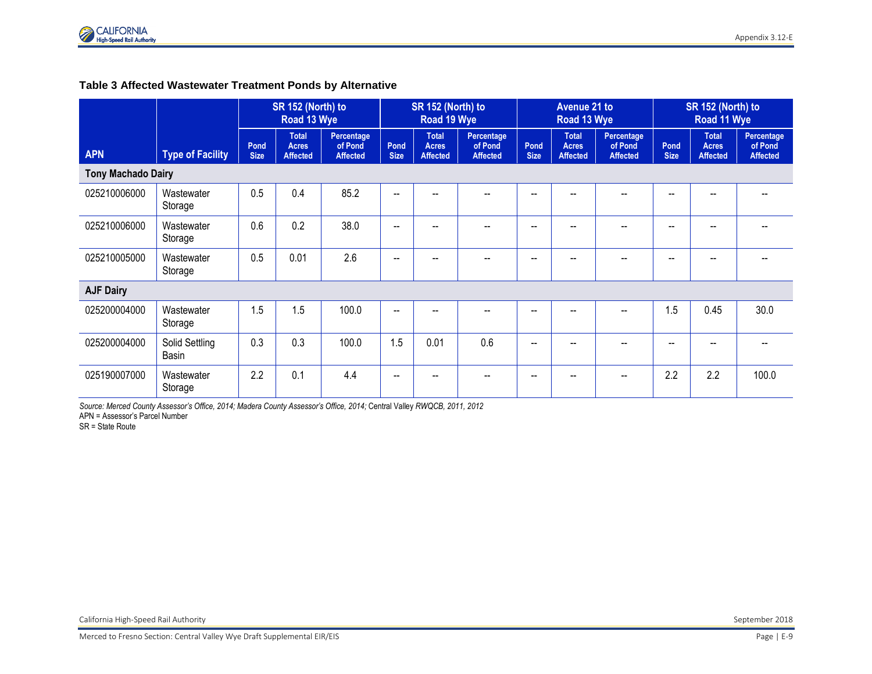### **Table 3 Affected Wastewater Treatment Ponds by Alternative**

|                           |                         |                     | SR 152 (North) to<br>Road 13 Wye                |                                          | SR 152 (North) to<br>Road 19 Wye |                                                 |                                          | <b>Avenue 21 to</b><br>Road 13 Wye |                                                 |                                          | SR 152 (North) to<br>Road 11 Wye |                                                 |                                          |
|---------------------------|-------------------------|---------------------|-------------------------------------------------|------------------------------------------|----------------------------------|-------------------------------------------------|------------------------------------------|------------------------------------|-------------------------------------------------|------------------------------------------|----------------------------------|-------------------------------------------------|------------------------------------------|
| <b>APN</b>                | <b>Type of Facility</b> | Pond<br><b>Size</b> | <b>Total</b><br><b>Acres</b><br><b>Affected</b> | Percentage<br>of Pond<br><b>Affected</b> | Pond<br><b>Size</b>              | <b>Total</b><br><b>Acres</b><br><b>Affected</b> | Percentage<br>of Pond<br><b>Affected</b> | Pond<br><b>Size</b>                | <b>Total</b><br><b>Acres</b><br><b>Affected</b> | Percentage<br>of Pond<br><b>Affected</b> | Pond<br><b>Size</b>              | <b>Total</b><br><b>Acres</b><br><b>Affected</b> | Percentage<br>of Pond<br><b>Affected</b> |
| <b>Tony Machado Dairy</b> |                         |                     |                                                 |                                          |                                  |                                                 |                                          |                                    |                                                 |                                          |                                  |                                                 |                                          |
| 025210006000              | Wastewater<br>Storage   | 0.5                 | 0.4                                             | 85.2                                     | --                               |                                                 |                                          | --                                 |                                                 |                                          |                                  |                                                 |                                          |
| 025210006000              | Wastewater<br>Storage   | 0.6                 | 0.2                                             | 38.0                                     |                                  |                                                 |                                          | --                                 |                                                 |                                          |                                  |                                                 |                                          |
| 025210005000              | Wastewater<br>Storage   | 0.5                 | 0.01                                            | 2.6                                      | $-$                              |                                                 |                                          | --                                 |                                                 |                                          |                                  |                                                 |                                          |
| <b>AJF Dairy</b>          |                         |                     |                                                 |                                          |                                  |                                                 |                                          |                                    |                                                 |                                          |                                  |                                                 |                                          |
| 025200004000              | Wastewater<br>Storage   | 1.5                 | 1.5                                             | 100.0                                    | $\overline{\phantom{a}}$         |                                                 |                                          | --                                 | --                                              |                                          | 1.5                              | 0.45                                            | 30.0                                     |
| 025200004000              | Solid Settling<br>Basin | 0.3                 | 0.3                                             | 100.0                                    | 1.5                              | 0.01                                            | 0.6                                      | --                                 |                                                 |                                          |                                  |                                                 |                                          |
| 025190007000              | Wastewater<br>Storage   | 2.2                 | 0.1                                             | 4.4                                      | --                               |                                                 |                                          | --                                 | --                                              |                                          | 2.2                              | 2.2                                             | 100.0                                    |

*Source: Merced County Assessor's Office, 2014; Madera County Assessor's Office, 2014;* Central Valley *RWQCB, 2011, 2012* APN = Assessor's Parcel Number

SR = State Route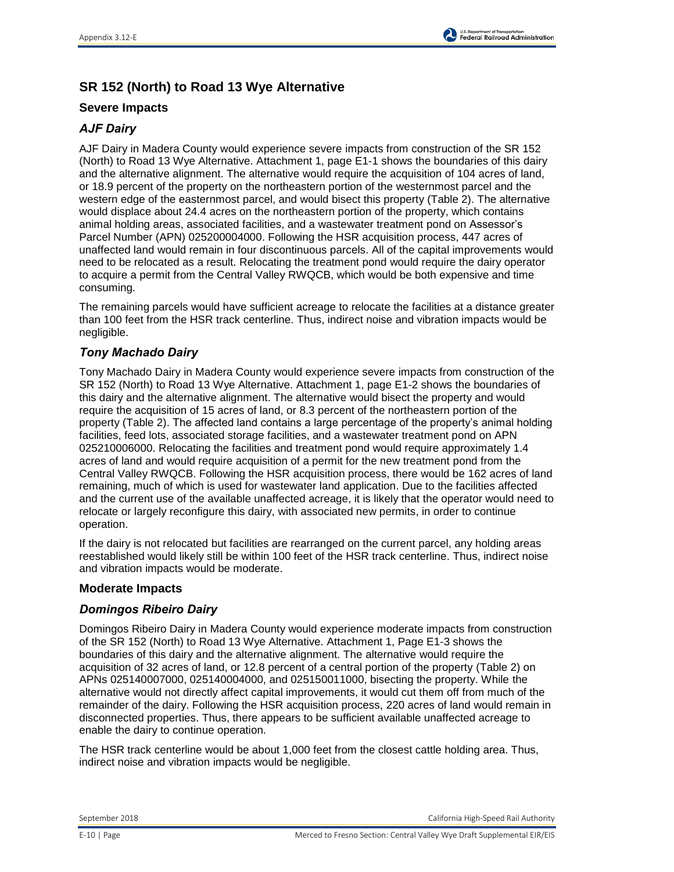# **SR 152 (North) to Road 13 Wye Alternative**

### **Severe Impacts**

## *AJF Dairy*

AJF Dairy in Madera County would experience severe impacts from construction of the SR 152 (North) to Road 13 Wye Alternative. Attachment 1, page E1-1 shows the boundaries of this dairy and the alternative alignment. The alternative would require the acquisition of 104 acres of land, or 18.9 percent of the property on the northeastern portion of the westernmost parcel and the western edge of the easternmost parcel, and would bisect this property (Table 2). The alternative would displace about 24.4 acres on the northeastern portion of the property, which contains animal holding areas, associated facilities, and a wastewater treatment pond on Assessor's Parcel Number (APN) 025200004000. Following the HSR acquisition process, 447 acres of unaffected land would remain in four discontinuous parcels. All of the capital improvements would need to be relocated as a result. Relocating the treatment pond would require the dairy operator to acquire a permit from the Central Valley RWQCB, which would be both expensive and time consuming.

The remaining parcels would have sufficient acreage to relocate the facilities at a distance greater than 100 feet from the HSR track centerline. Thus, indirect noise and vibration impacts would be negligible.

## *Tony Machado Dairy*

Tony Machado Dairy in Madera County would experience severe impacts from construction of the SR 152 (North) to Road 13 Wye Alternative. Attachment 1, page E1-2 shows the boundaries of this dairy and the alternative alignment. The alternative would bisect the property and would require the acquisition of 15 acres of land, or 8.3 percent of the northeastern portion of the property (Table 2). The affected land contains a large percentage of the property's animal holding facilities, feed lots, associated storage facilities, and a wastewater treatment pond on APN 025210006000. Relocating the facilities and treatment pond would require approximately 1.4 acres of land and would require acquisition of a permit for the new treatment pond from the Central Valley RWQCB. Following the HSR acquisition process, there would be 162 acres of land remaining, much of which is used for wastewater land application. Due to the facilities affected and the current use of the available unaffected acreage, it is likely that the operator would need to relocate or largely reconfigure this dairy, with associated new permits, in order to continue operation.

If the dairy is not relocated but facilities are rearranged on the current parcel, any holding areas reestablished would likely still be within 100 feet of the HSR track centerline. Thus, indirect noise and vibration impacts would be moderate.

### **Moderate Impacts**

### *Domingos Ribeiro Dairy*

Domingos Ribeiro Dairy in Madera County would experience moderate impacts from construction of the SR 152 (North) to Road 13 Wye Alternative. Attachment 1, Page E1-3 shows the boundaries of this dairy and the alternative alignment. The alternative would require the acquisition of 32 acres of land, or 12.8 percent of a central portion of the property (Table 2) on APNs 025140007000, 025140004000, and 025150011000, bisecting the property. While the alternative would not directly affect capital improvements, it would cut them off from much of the remainder of the dairy. Following the HSR acquisition process, 220 acres of land would remain in disconnected properties. Thus, there appears to be sufficient available unaffected acreage to enable the dairy to continue operation.

The HSR track centerline would be about 1,000 feet from the closest cattle holding area. Thus, indirect noise and vibration impacts would be negligible.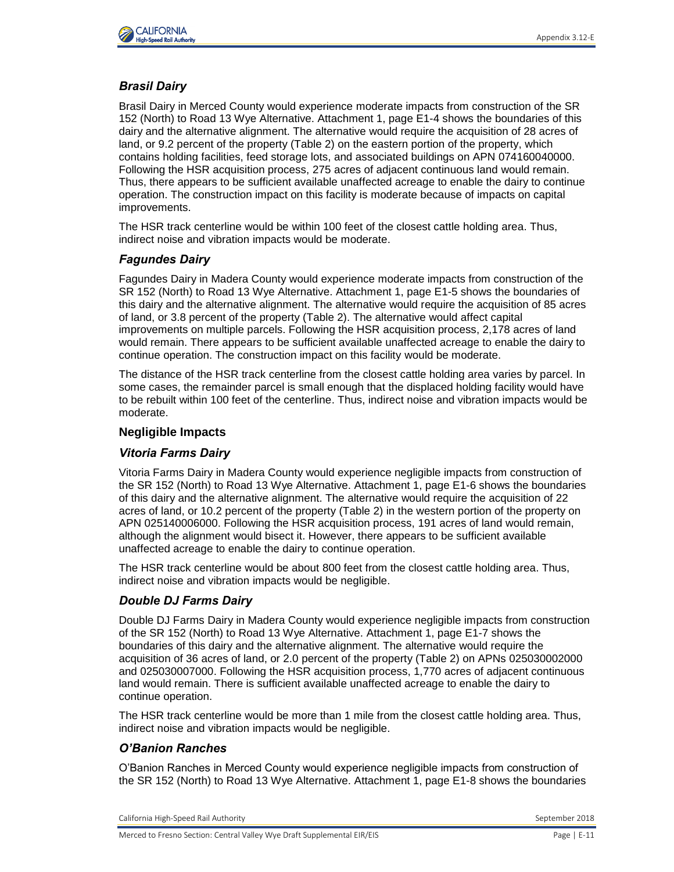

## *Brasil Dairy*

Brasil Dairy in Merced County would experience moderate impacts from construction of the SR 152 (North) to Road 13 Wye Alternative. Attachment 1, page E1-4 shows the boundaries of this dairy and the alternative alignment. The alternative would require the acquisition of 28 acres of land, or 9.2 percent of the property (Table 2) on the eastern portion of the property, which contains holding facilities, feed storage lots, and associated buildings on APN 074160040000. Following the HSR acquisition process, 275 acres of adjacent continuous land would remain. Thus, there appears to be sufficient available unaffected acreage to enable the dairy to continue operation. The construction impact on this facility is moderate because of impacts on capital improvements.

The HSR track centerline would be within 100 feet of the closest cattle holding area. Thus, indirect noise and vibration impacts would be moderate.

### *Fagundes Dairy*

Fagundes Dairy in Madera County would experience moderate impacts from construction of the SR 152 (North) to Road 13 Wye Alternative. Attachment 1, page E1-5 shows the boundaries of this dairy and the alternative alignment. The alternative would require the acquisition of 85 acres of land, or 3.8 percent of the property (Table 2). The alternative would affect capital improvements on multiple parcels. Following the HSR acquisition process, 2,178 acres of land would remain. There appears to be sufficient available unaffected acreage to enable the dairy to continue operation. The construction impact on this facility would be moderate.

The distance of the HSR track centerline from the closest cattle holding area varies by parcel. In some cases, the remainder parcel is small enough that the displaced holding facility would have to be rebuilt within 100 feet of the centerline. Thus, indirect noise and vibration impacts would be moderate.

#### **Negligible Impacts**

### *Vitoria Farms Dairy*

Vitoria Farms Dairy in Madera County would experience negligible impacts from construction of the SR 152 (North) to Road 13 Wye Alternative. Attachment 1, page E1-6 shows the boundaries of this dairy and the alternative alignment. The alternative would require the acquisition of 22 acres of land, or 10.2 percent of the property (Table 2) in the western portion of the property on APN 025140006000. Following the HSR acquisition process, 191 acres of land would remain, although the alignment would bisect it. However, there appears to be sufficient available unaffected acreage to enable the dairy to continue operation.

The HSR track centerline would be about 800 feet from the closest cattle holding area. Thus, indirect noise and vibration impacts would be negligible.

### *Double DJ Farms Dairy*

Double DJ Farms Dairy in Madera County would experience negligible impacts from construction of the SR 152 (North) to Road 13 Wye Alternative. Attachment 1, page E1-7 shows the boundaries of this dairy and the alternative alignment. The alternative would require the acquisition of 36 acres of land, or 2.0 percent of the property (Table 2) on APNs 025030002000 and 025030007000. Following the HSR acquisition process, 1,770 acres of adjacent continuous land would remain. There is sufficient available unaffected acreage to enable the dairy to continue operation.

The HSR track centerline would be more than 1 mile from the closest cattle holding area. Thus, indirect noise and vibration impacts would be negligible.

### *O'Banion Ranches*

O'Banion Ranches in Merced County would experience negligible impacts from construction of the SR 152 (North) to Road 13 Wye Alternative. Attachment 1, page E1-8 shows the boundaries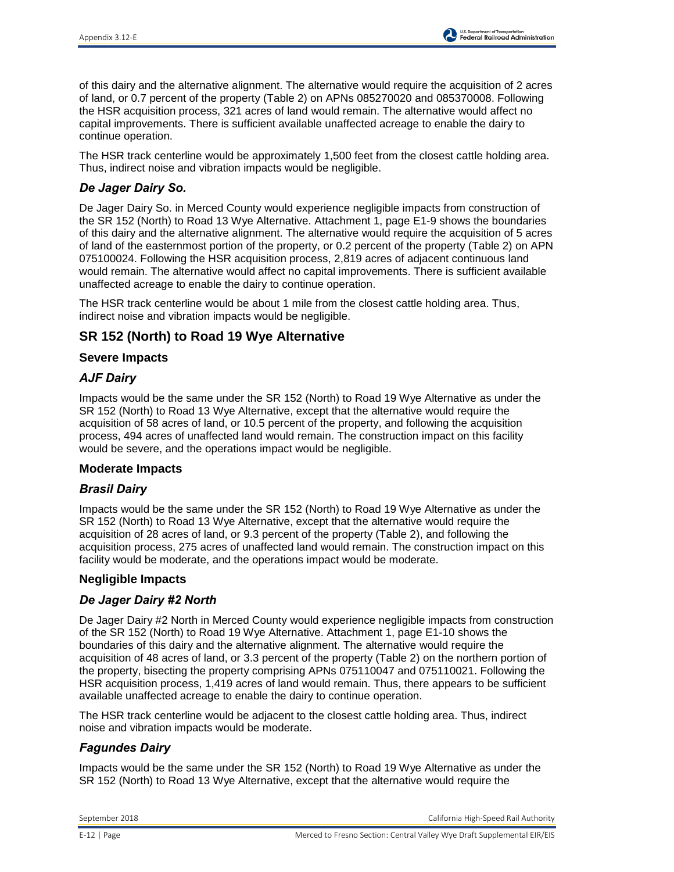of this dairy and the alternative alignment. The alternative would require the acquisition of 2 acres of land, or 0.7 percent of the property (Table 2) on APNs 085270020 and 085370008. Following the HSR acquisition process, 321 acres of land would remain. The alternative would affect no capital improvements. There is sufficient available unaffected acreage to enable the dairy to continue operation.

The HSR track centerline would be approximately 1,500 feet from the closest cattle holding area. Thus, indirect noise and vibration impacts would be negligible.

## *De Jager Dairy So.*

De Jager Dairy So. in Merced County would experience negligible impacts from construction of the SR 152 (North) to Road 13 Wye Alternative. Attachment 1, page E1-9 shows the boundaries of this dairy and the alternative alignment. The alternative would require the acquisition of 5 acres of land of the easternmost portion of the property, or 0.2 percent of the property (Table 2) on APN 075100024. Following the HSR acquisition process, 2,819 acres of adjacent continuous land would remain. The alternative would affect no capital improvements. There is sufficient available unaffected acreage to enable the dairy to continue operation.

The HSR track centerline would be about 1 mile from the closest cattle holding area. Thus, indirect noise and vibration impacts would be negligible.

# **SR 152 (North) to Road 19 Wye Alternative**

#### **Severe Impacts**

### *AJF Dairy*

Impacts would be the same under the SR 152 (North) to Road 19 Wye Alternative as under the SR 152 (North) to Road 13 Wye Alternative, except that the alternative would require the acquisition of 58 acres of land, or 10.5 percent of the property, and following the acquisition process, 494 acres of unaffected land would remain. The construction impact on this facility would be severe, and the operations impact would be negligible.

#### **Moderate Impacts**

### *Brasil Dairy*

Impacts would be the same under the SR 152 (North) to Road 19 Wye Alternative as under the SR 152 (North) to Road 13 Wye Alternative, except that the alternative would require the acquisition of 28 acres of land, or 9.3 percent of the property (Table 2), and following the acquisition process, 275 acres of unaffected land would remain. The construction impact on this facility would be moderate, and the operations impact would be moderate.

#### **Negligible Impacts**

### *De Jager Dairy #2 North*

De Jager Dairy #2 North in Merced County would experience negligible impacts from construction of the SR 152 (North) to Road 19 Wye Alternative. Attachment 1, page E1-10 shows the boundaries of this dairy and the alternative alignment. The alternative would require the acquisition of 48 acres of land, or 3.3 percent of the property (Table 2) on the northern portion of the property, bisecting the property comprising APNs 075110047 and 075110021. Following the HSR acquisition process, 1,419 acres of land would remain. Thus, there appears to be sufficient available unaffected acreage to enable the dairy to continue operation.

The HSR track centerline would be adjacent to the closest cattle holding area. Thus, indirect noise and vibration impacts would be moderate.

### *Fagundes Dairy*

Impacts would be the same under the SR 152 (North) to Road 19 Wye Alternative as under the SR 152 (North) to Road 13 Wye Alternative, except that the alternative would require the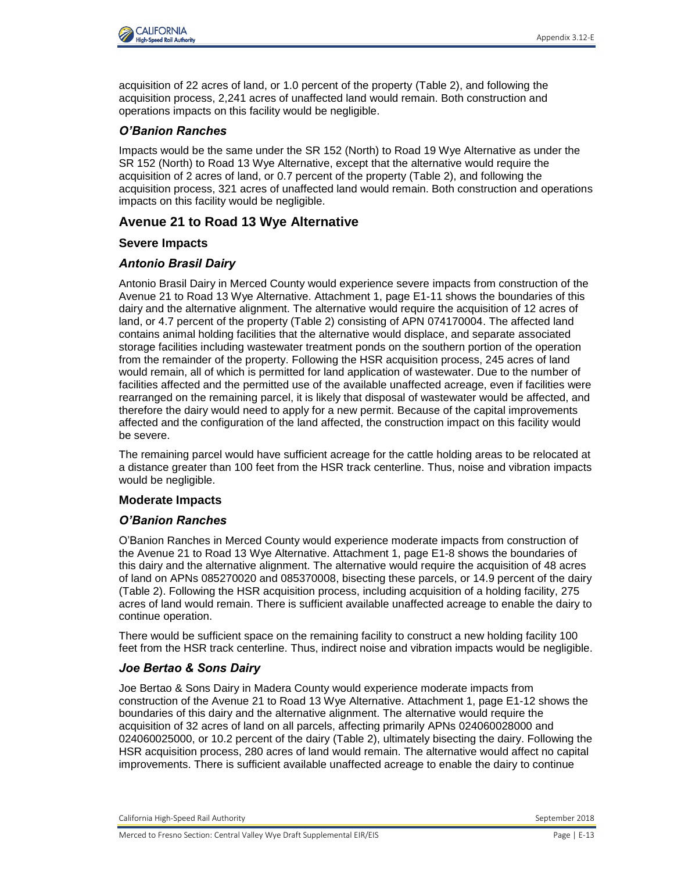

acquisition of 22 acres of land, or 1.0 percent of the property (Table 2), and following the acquisition process, 2,241 acres of unaffected land would remain. Both construction and operations impacts on this facility would be negligible.

### *O'Banion Ranches*

Impacts would be the same under the SR 152 (North) to Road 19 Wye Alternative as under the SR 152 (North) to Road 13 Wye Alternative, except that the alternative would require the acquisition of 2 acres of land, or 0.7 percent of the property (Table 2), and following the acquisition process, 321 acres of unaffected land would remain. Both construction and operations impacts on this facility would be negligible.

## **Avenue 21 to Road 13 Wye Alternative**

### **Severe Impacts**

### *Antonio Brasil Dairy*

Antonio Brasil Dairy in Merced County would experience severe impacts from construction of the Avenue 21 to Road 13 Wye Alternative. Attachment 1, page E1-11 shows the boundaries of this dairy and the alternative alignment. The alternative would require the acquisition of 12 acres of land, or 4.7 percent of the property (Table 2) consisting of APN 074170004. The affected land contains animal holding facilities that the alternative would displace, and separate associated storage facilities including wastewater treatment ponds on the southern portion of the operation from the remainder of the property. Following the HSR acquisition process, 245 acres of land would remain, all of which is permitted for land application of wastewater. Due to the number of facilities affected and the permitted use of the available unaffected acreage, even if facilities were rearranged on the remaining parcel, it is likely that disposal of wastewater would be affected, and therefore the dairy would need to apply for a new permit. Because of the capital improvements affected and the configuration of the land affected, the construction impact on this facility would be severe.

The remaining parcel would have sufficient acreage for the cattle holding areas to be relocated at a distance greater than 100 feet from the HSR track centerline. Thus, noise and vibration impacts would be negligible.

### **Moderate Impacts**

### *O'Banion Ranches*

O'Banion Ranches in Merced County would experience moderate impacts from construction of the Avenue 21 to Road 13 Wye Alternative. Attachment 1, page E1-8 shows the boundaries of this dairy and the alternative alignment. The alternative would require the acquisition of 48 acres of land on APNs 085270020 and 085370008, bisecting these parcels, or 14.9 percent of the dairy (Table 2). Following the HSR acquisition process, including acquisition of a holding facility, 275 acres of land would remain. There is sufficient available unaffected acreage to enable the dairy to continue operation.

There would be sufficient space on the remaining facility to construct a new holding facility 100 feet from the HSR track centerline. Thus, indirect noise and vibration impacts would be negligible.

#### *Joe Bertao & Sons Dairy*

Joe Bertao & Sons Dairy in Madera County would experience moderate impacts from construction of the Avenue 21 to Road 13 Wye Alternative. Attachment 1, page E1-12 shows the boundaries of this dairy and the alternative alignment. The alternative would require the acquisition of 32 acres of land on all parcels, affecting primarily APNs 024060028000 and 024060025000, or 10.2 percent of the dairy (Table 2), ultimately bisecting the dairy. Following the HSR acquisition process, 280 acres of land would remain. The alternative would affect no capital improvements. There is sufficient available unaffected acreage to enable the dairy to continue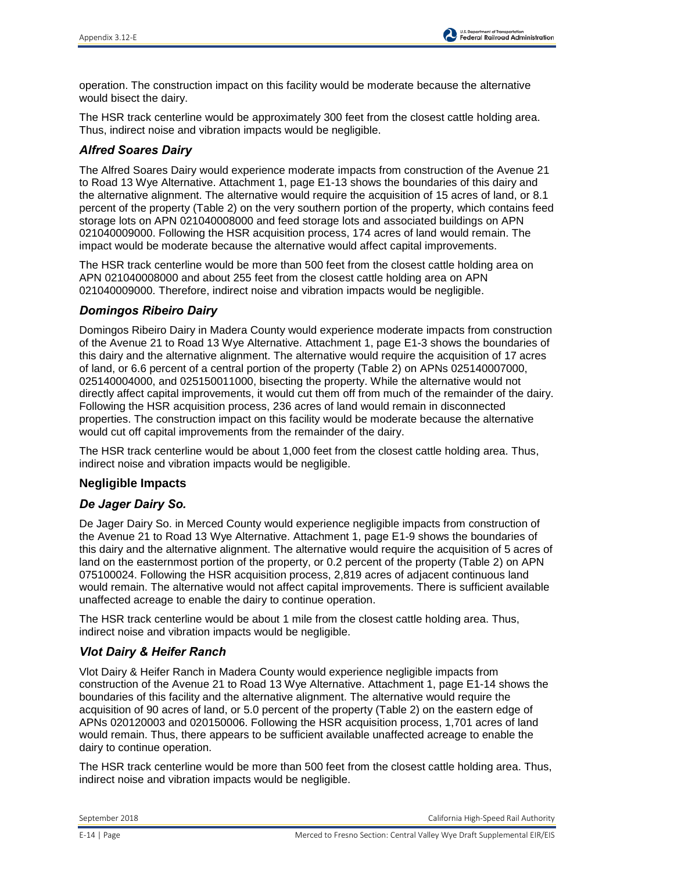operation. The construction impact on this facility would be moderate because the alternative would bisect the dairy.

The HSR track centerline would be approximately 300 feet from the closest cattle holding area. Thus, indirect noise and vibration impacts would be negligible.

## *Alfred Soares Dairy*

The Alfred Soares Dairy would experience moderate impacts from construction of the Avenue 21 to Road 13 Wye Alternative. Attachment 1, page E1-13 shows the boundaries of this dairy and the alternative alignment. The alternative would require the acquisition of 15 acres of land, or 8.1 percent of the property (Table 2) on the very southern portion of the property, which contains feed storage lots on APN 021040008000 and feed storage lots and associated buildings on APN 021040009000. Following the HSR acquisition process, 174 acres of land would remain. The impact would be moderate because the alternative would affect capital improvements.

The HSR track centerline would be more than 500 feet from the closest cattle holding area on APN 021040008000 and about 255 feet from the closest cattle holding area on APN 021040009000. Therefore, indirect noise and vibration impacts would be negligible.

### *Domingos Ribeiro Dairy*

Domingos Ribeiro Dairy in Madera County would experience moderate impacts from construction of the Avenue 21 to Road 13 Wye Alternative. Attachment 1, page E1-3 shows the boundaries of this dairy and the alternative alignment. The alternative would require the acquisition of 17 acres of land, or 6.6 percent of a central portion of the property (Table 2) on APNs 025140007000, 025140004000, and 025150011000, bisecting the property. While the alternative would not directly affect capital improvements, it would cut them off from much of the remainder of the dairy. Following the HSR acquisition process, 236 acres of land would remain in disconnected properties. The construction impact on this facility would be moderate because the alternative would cut off capital improvements from the remainder of the dairy.

The HSR track centerline would be about 1,000 feet from the closest cattle holding area. Thus, indirect noise and vibration impacts would be negligible.

### **Negligible Impacts**

### *De Jager Dairy So.*

De Jager Dairy So. in Merced County would experience negligible impacts from construction of the Avenue 21 to Road 13 Wye Alternative. Attachment 1, page E1-9 shows the boundaries of this dairy and the alternative alignment. The alternative would require the acquisition of 5 acres of land on the easternmost portion of the property, or 0.2 percent of the property (Table 2) on APN 075100024. Following the HSR acquisition process, 2,819 acres of adjacent continuous land would remain. The alternative would not affect capital improvements. There is sufficient available unaffected acreage to enable the dairy to continue operation.

The HSR track centerline would be about 1 mile from the closest cattle holding area. Thus, indirect noise and vibration impacts would be negligible.

### *Vlot Dairy & Heifer Ranch*

Vlot Dairy & Heifer Ranch in Madera County would experience negligible impacts from construction of the Avenue 21 to Road 13 Wye Alternative. Attachment 1, page E1-14 shows the boundaries of this facility and the alternative alignment. The alternative would require the acquisition of 90 acres of land, or 5.0 percent of the property (Table 2) on the eastern edge of APNs 020120003 and 020150006. Following the HSR acquisition process, 1,701 acres of land would remain. Thus, there appears to be sufficient available unaffected acreage to enable the dairy to continue operation.

The HSR track centerline would be more than 500 feet from the closest cattle holding area. Thus, indirect noise and vibration impacts would be negligible.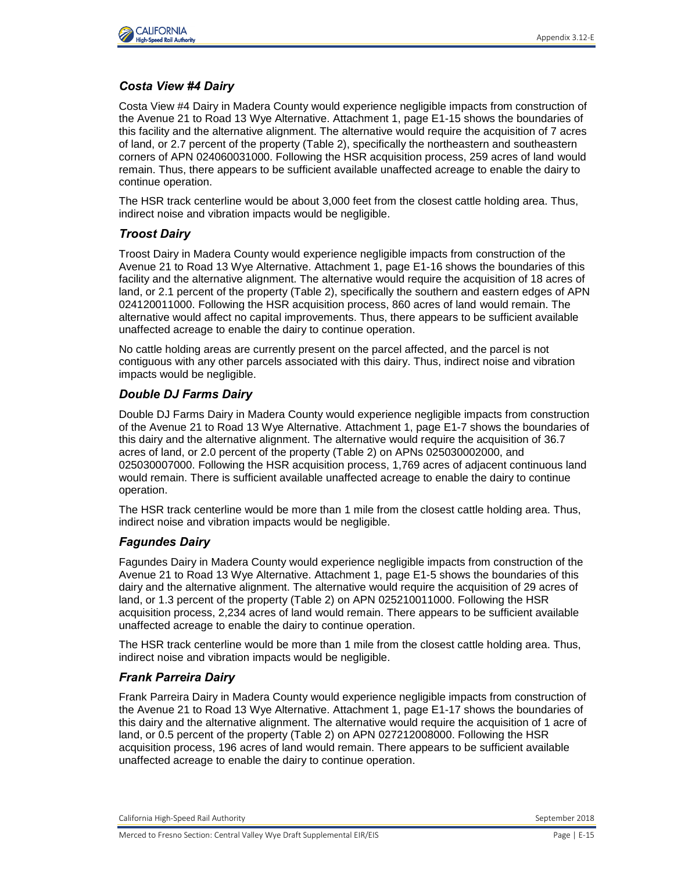

#### *Costa View #4 Dairy*

Costa View #4 Dairy in Madera County would experience negligible impacts from construction of the Avenue 21 to Road 13 Wye Alternative. Attachment 1, page E1-15 shows the boundaries of this facility and the alternative alignment. The alternative would require the acquisition of 7 acres of land, or 2.7 percent of the property (Table 2), specifically the northeastern and southeastern corners of APN 024060031000. Following the HSR acquisition process, 259 acres of land would remain. Thus, there appears to be sufficient available unaffected acreage to enable the dairy to continue operation.

The HSR track centerline would be about 3,000 feet from the closest cattle holding area. Thus, indirect noise and vibration impacts would be negligible.

#### *Troost Dairy*

Troost Dairy in Madera County would experience negligible impacts from construction of the Avenue 21 to Road 13 Wye Alternative. Attachment 1, page E1-16 shows the boundaries of this facility and the alternative alignment. The alternative would require the acquisition of 18 acres of land, or 2.1 percent of the property (Table 2), specifically the southern and eastern edges of APN 024120011000. Following the HSR acquisition process, 860 acres of land would remain. The alternative would affect no capital improvements. Thus, there appears to be sufficient available unaffected acreage to enable the dairy to continue operation.

No cattle holding areas are currently present on the parcel affected, and the parcel is not contiguous with any other parcels associated with this dairy. Thus, indirect noise and vibration impacts would be negligible.

#### *Double DJ Farms Dairy*

Double DJ Farms Dairy in Madera County would experience negligible impacts from construction of the Avenue 21 to Road 13 Wye Alternative. Attachment 1, page E1-7 shows the boundaries of this dairy and the alternative alignment. The alternative would require the acquisition of 36.7 acres of land, or 2.0 percent of the property (Table 2) on APNs 025030002000, and 025030007000. Following the HSR acquisition process, 1,769 acres of adjacent continuous land would remain. There is sufficient available unaffected acreage to enable the dairy to continue operation.

The HSR track centerline would be more than 1 mile from the closest cattle holding area. Thus, indirect noise and vibration impacts would be negligible.

#### *Fagundes Dairy*

Fagundes Dairy in Madera County would experience negligible impacts from construction of the Avenue 21 to Road 13 Wye Alternative. Attachment 1, page E1-5 shows the boundaries of this dairy and the alternative alignment. The alternative would require the acquisition of 29 acres of land, or 1.3 percent of the property (Table 2) on APN 025210011000. Following the HSR acquisition process, 2,234 acres of land would remain. There appears to be sufficient available unaffected acreage to enable the dairy to continue operation.

The HSR track centerline would be more than 1 mile from the closest cattle holding area. Thus, indirect noise and vibration impacts would be negligible.

#### *Frank Parreira Dairy*

Frank Parreira Dairy in Madera County would experience negligible impacts from construction of the Avenue 21 to Road 13 Wye Alternative. Attachment 1, page E1-17 shows the boundaries of this dairy and the alternative alignment. The alternative would require the acquisition of 1 acre of land, or 0.5 percent of the property (Table 2) on APN 027212008000. Following the HSR acquisition process, 196 acres of land would remain. There appears to be sufficient available unaffected acreage to enable the dairy to continue operation.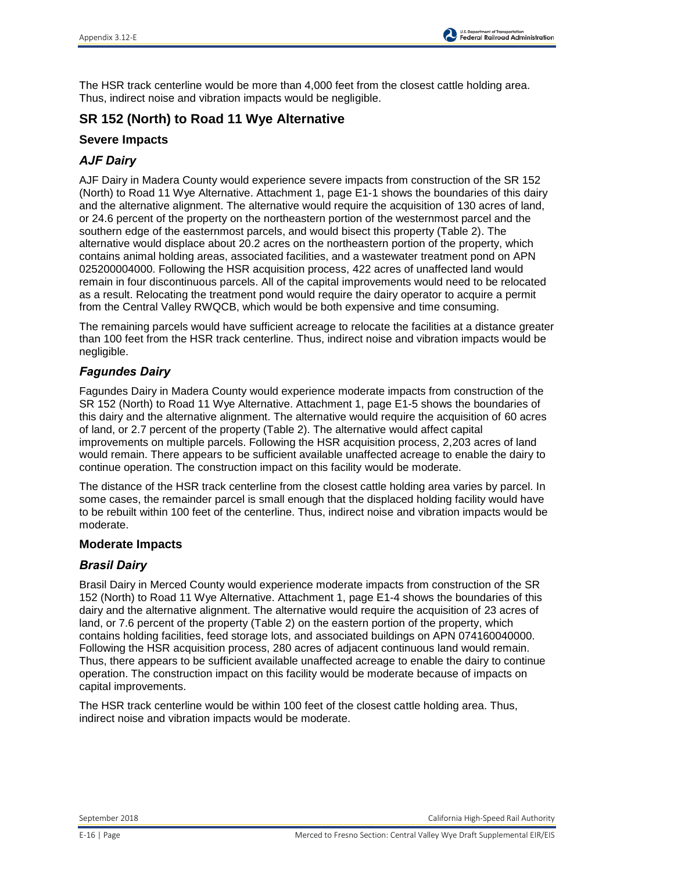The HSR track centerline would be more than 4,000 feet from the closest cattle holding area. Thus, indirect noise and vibration impacts would be negligible.

# **SR 152 (North) to Road 11 Wye Alternative**

## **Severe Impacts**

## *AJF Dairy*

AJF Dairy in Madera County would experience severe impacts from construction of the SR 152 (North) to Road 11 Wye Alternative. Attachment 1, page E1-1 shows the boundaries of this dairy and the alternative alignment. The alternative would require the acquisition of 130 acres of land, or 24.6 percent of the property on the northeastern portion of the westernmost parcel and the southern edge of the easternmost parcels, and would bisect this property (Table 2). The alternative would displace about 20.2 acres on the northeastern portion of the property, which contains animal holding areas, associated facilities, and a wastewater treatment pond on APN 025200004000. Following the HSR acquisition process, 422 acres of unaffected land would remain in four discontinuous parcels. All of the capital improvements would need to be relocated as a result. Relocating the treatment pond would require the dairy operator to acquire a permit from the Central Valley RWQCB, which would be both expensive and time consuming.

The remaining parcels would have sufficient acreage to relocate the facilities at a distance greater than 100 feet from the HSR track centerline. Thus, indirect noise and vibration impacts would be negligible.

## *Fagundes Dairy*

Fagundes Dairy in Madera County would experience moderate impacts from construction of the SR 152 (North) to Road 11 Wye Alternative. Attachment 1, page E1-5 shows the boundaries of this dairy and the alternative alignment. The alternative would require the acquisition of 60 acres of land, or 2.7 percent of the property (Table 2). The alternative would affect capital improvements on multiple parcels. Following the HSR acquisition process, 2,203 acres of land would remain. There appears to be sufficient available unaffected acreage to enable the dairy to continue operation. The construction impact on this facility would be moderate.

The distance of the HSR track centerline from the closest cattle holding area varies by parcel. In some cases, the remainder parcel is small enough that the displaced holding facility would have to be rebuilt within 100 feet of the centerline. Thus, indirect noise and vibration impacts would be moderate.

### **Moderate Impacts**

### *Brasil Dairy*

Brasil Dairy in Merced County would experience moderate impacts from construction of the SR 152 (North) to Road 11 Wye Alternative. Attachment 1, page E1-4 shows the boundaries of this dairy and the alternative alignment. The alternative would require the acquisition of 23 acres of land, or 7.6 percent of the property (Table 2) on the eastern portion of the property, which contains holding facilities, feed storage lots, and associated buildings on APN 074160040000. Following the HSR acquisition process, 280 acres of adjacent continuous land would remain. Thus, there appears to be sufficient available unaffected acreage to enable the dairy to continue operation. The construction impact on this facility would be moderate because of impacts on capital improvements.

The HSR track centerline would be within 100 feet of the closest cattle holding area. Thus, indirect noise and vibration impacts would be moderate.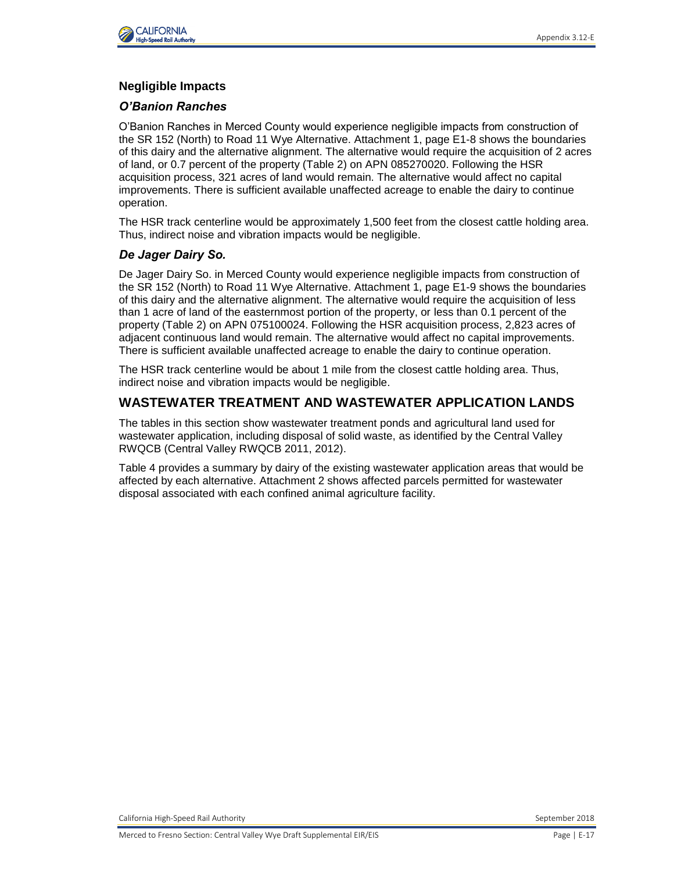

## **Negligible Impacts**

#### *O'Banion Ranches*

O'Banion Ranches in Merced County would experience negligible impacts from construction of the SR 152 (North) to Road 11 Wye Alternative. Attachment 1, page E1-8 shows the boundaries of this dairy and the alternative alignment. The alternative would require the acquisition of 2 acres of land, or 0.7 percent of the property (Table 2) on APN 085270020. Following the HSR acquisition process, 321 acres of land would remain. The alternative would affect no capital improvements. There is sufficient available unaffected acreage to enable the dairy to continue operation.

The HSR track centerline would be approximately 1,500 feet from the closest cattle holding area. Thus, indirect noise and vibration impacts would be negligible.

#### *De Jager Dairy So.*

De Jager Dairy So. in Merced County would experience negligible impacts from construction of the SR 152 (North) to Road 11 Wye Alternative. Attachment 1, page E1-9 shows the boundaries of this dairy and the alternative alignment. The alternative would require the acquisition of less than 1 acre of land of the easternmost portion of the property, or less than 0.1 percent of the property (Table 2) on APN 075100024. Following the HSR acquisition process, 2,823 acres of adjacent continuous land would remain. The alternative would affect no capital improvements. There is sufficient available unaffected acreage to enable the dairy to continue operation.

The HSR track centerline would be about 1 mile from the closest cattle holding area. Thus, indirect noise and vibration impacts would be negligible.

## **WASTEWATER TREATMENT AND WASTEWATER APPLICATION LANDS**

The tables in this section show wastewater treatment ponds and agricultural land used for wastewater application, including disposal of solid waste, as identified by the Central Valley RWQCB (Central Valley RWQCB 2011, 2012).

Table 4 provides a summary by dairy of the existing wastewater application areas that would be affected by each alternative. Attachment 2 shows affected parcels permitted for wastewater disposal associated with each confined animal agriculture facility.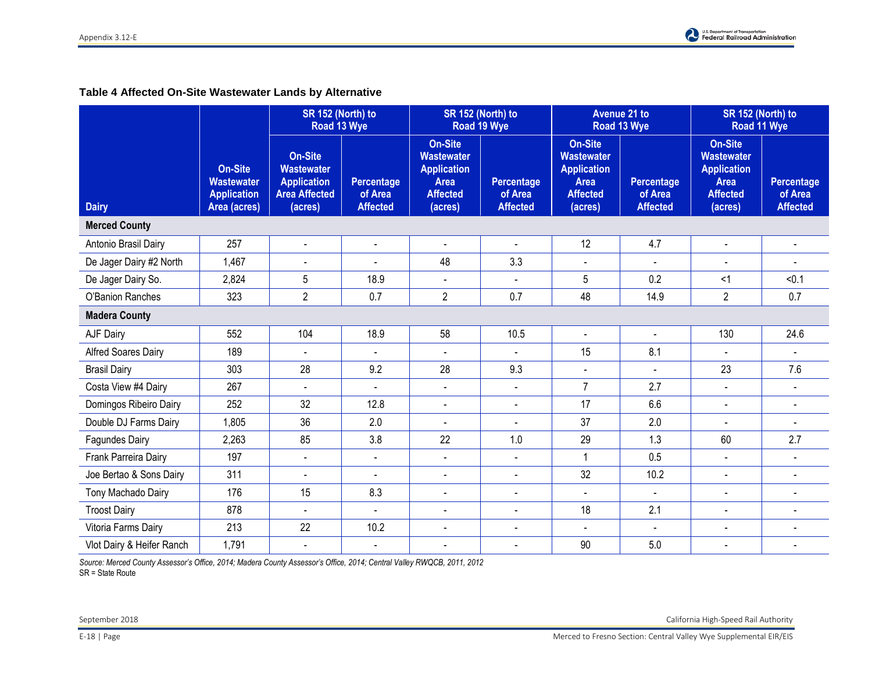#### **Table 4 Affected On-Site Wastewater Lands by Alternative**

|                           |                                                                           | SR 152 (North) to<br>Road 13 Wye                                                             |                                          |                                                                                                        | SR 152 (North) to<br>Road 19 Wye                |                                                                                                        | <b>Avenue 21 to</b><br>Road 13 Wye       | SR 152 (North) to<br>Road 11 Wye                                                                       |                                                 |
|---------------------------|---------------------------------------------------------------------------|----------------------------------------------------------------------------------------------|------------------------------------------|--------------------------------------------------------------------------------------------------------|-------------------------------------------------|--------------------------------------------------------------------------------------------------------|------------------------------------------|--------------------------------------------------------------------------------------------------------|-------------------------------------------------|
| <b>Dairy</b>              | <b>On-Site</b><br><b>Wastewater</b><br><b>Application</b><br>Area (acres) | <b>On-Site</b><br><b>Wastewater</b><br><b>Application</b><br><b>Area Affected</b><br>(acres) | Percentage<br>of Area<br><b>Affected</b> | <b>On-Site</b><br><b>Wastewater</b><br><b>Application</b><br><b>Area</b><br><b>Affected</b><br>(acres) | <b>Percentage</b><br>of Area<br><b>Affected</b> | <b>On-Site</b><br><b>Wastewater</b><br><b>Application</b><br><b>Area</b><br><b>Affected</b><br>(acres) | Percentage<br>of Area<br><b>Affected</b> | <b>On-Site</b><br><b>Wastewater</b><br><b>Application</b><br><b>Area</b><br><b>Affected</b><br>(acres) | <b>Percentage</b><br>of Area<br><b>Affected</b> |
| <b>Merced County</b>      |                                                                           |                                                                                              |                                          |                                                                                                        |                                                 |                                                                                                        |                                          |                                                                                                        |                                                 |
| Antonio Brasil Dairy      | 257                                                                       | $\blacksquare$                                                                               | $\blacksquare$                           | $\blacksquare$                                                                                         | $\blacksquare$                                  | 12                                                                                                     | 4.7                                      | $\overline{\phantom{a}}$                                                                               |                                                 |
| De Jager Dairy #2 North   | 1,467                                                                     | $\blacksquare$                                                                               | $\blacksquare$                           | 48                                                                                                     | 3.3                                             | $\blacksquare$                                                                                         | $\blacksquare$                           | $\blacksquare$                                                                                         |                                                 |
| De Jager Dairy So.        | 2,824                                                                     | 5                                                                                            | 18.9                                     | $\blacksquare$                                                                                         |                                                 | 5                                                                                                      | 0.2                                      | $<$ 1                                                                                                  | < 0.1                                           |
| O'Banion Ranches          | 323                                                                       | $\overline{2}$                                                                               | 0.7                                      | $\overline{2}$                                                                                         | 0.7                                             | 48                                                                                                     | 14.9                                     | $\overline{2}$                                                                                         | 0.7                                             |
| <b>Madera County</b>      |                                                                           |                                                                                              |                                          |                                                                                                        |                                                 |                                                                                                        |                                          |                                                                                                        |                                                 |
| AJF Dairy                 | 552                                                                       | 104                                                                                          | 18.9                                     | 58                                                                                                     | 10.5                                            | $\blacksquare$                                                                                         | $\blacksquare$                           | 130                                                                                                    | 24.6                                            |
| Alfred Soares Dairy       | 189                                                                       | $\overline{\phantom{a}}$                                                                     |                                          | $\blacksquare$                                                                                         |                                                 | 15                                                                                                     | 8.1                                      | $\blacksquare$                                                                                         |                                                 |
| <b>Brasil Dairy</b>       | 303                                                                       | 28                                                                                           | 9.2                                      | 28                                                                                                     | 9.3                                             | $\blacksquare$                                                                                         |                                          | 23                                                                                                     | 7.6                                             |
| Costa View #4 Dairy       | 267                                                                       | $\blacksquare$                                                                               |                                          | $\blacksquare$                                                                                         | $\blacksquare$                                  | $\overline{7}$                                                                                         | 2.7                                      | $\blacksquare$                                                                                         |                                                 |
| Domingos Ribeiro Dairy    | 252                                                                       | 32                                                                                           | 12.8                                     | $\blacksquare$                                                                                         |                                                 | 17                                                                                                     | 6.6                                      | $\blacksquare$                                                                                         |                                                 |
| Double DJ Farms Dairy     | 1,805                                                                     | 36                                                                                           | 2.0                                      | $\blacksquare$                                                                                         |                                                 | 37                                                                                                     | 2.0                                      |                                                                                                        |                                                 |
| Fagundes Dairy            | 2,263                                                                     | 85                                                                                           | 3.8                                      | 22                                                                                                     | 1.0                                             | 29                                                                                                     | 1.3                                      | 60                                                                                                     | 2.7                                             |
| Frank Parreira Dairy      | 197                                                                       | $\blacksquare$                                                                               | $\blacksquare$                           | $\blacksquare$                                                                                         | $\blacksquare$                                  | $\mathbf{1}$                                                                                           | 0.5                                      | $\blacksquare$                                                                                         | $\blacksquare$                                  |
| Joe Bertao & Sons Dairy   | 311                                                                       | $\overline{a}$                                                                               | $\overline{a}$                           | $\blacksquare$                                                                                         | $\sim$                                          | 32                                                                                                     | 10.2                                     | $\blacksquare$                                                                                         |                                                 |
| Tony Machado Dairy        | 176                                                                       | 15                                                                                           | 8.3                                      | $\blacksquare$                                                                                         | $\blacksquare$                                  | $\blacksquare$                                                                                         | $\blacksquare$                           | $\blacksquare$                                                                                         |                                                 |
| <b>Troost Dairy</b>       | 878                                                                       | $\blacksquare$                                                                               | $\overline{a}$                           | $\blacksquare$                                                                                         | $\blacksquare$                                  | 18                                                                                                     | 2.1                                      | $\blacksquare$                                                                                         |                                                 |
| Vitoria Farms Dairy       | 213                                                                       | 22                                                                                           | 10.2                                     | $\overline{a}$                                                                                         | $\overline{\phantom{a}}$                        | $\sim$                                                                                                 | $\blacksquare$                           | $\blacksquare$                                                                                         |                                                 |
| Vlot Dairy & Heifer Ranch | 1,791                                                                     | $\blacksquare$                                                                               | $\blacksquare$                           | ÷,                                                                                                     | $\blacksquare$                                  | 90                                                                                                     | 5.0                                      | $\blacksquare$                                                                                         |                                                 |

*Source: Merced County Assessor's Office, 2014; Madera County Assessor's Office, 2014; Central Valley RWQCB, 2011, 2012* SR = State Route